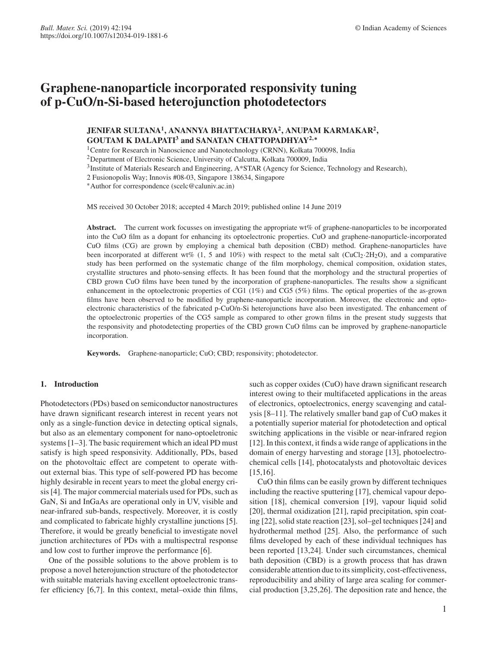# **JENIFAR SULTANA1, ANANNYA BHATTACHARYA2, ANUPAM KARMAKAR2, GOUTAM K DALAPATI<sup>3</sup> and SANATAN CHATTOPADHYAY<sup>2</sup>***,***<sup>∗</sup>**

<sup>1</sup>Centre for Research in Nanoscience and Nanotechnology (CRNN), Kolkata 700098, India

<sup>2</sup>Department of Electronic Science, University of Calcutta, Kolkata 700009, India

3Institute of Materials Research and Engineering, A\*STAR (Agency for Science, Technology and Research),

2 Fusionopolis Way; Innovis #08-03, Singapore 138634, Singapore

∗Author for correspondence (scelc@caluniv.ac.in)

MS received 30 October 2018; accepted 4 March 2019; published online 14 June 2019

**Abstract.** The current work focusses on investigating the appropriate wt% of graphene-nanoparticles to be incorporated into the CuO film as a dopant for enhancing its optoelectronic properties. CuO and graphene-nanoparticle-incorporated CuO films (CG) are grown by employing a chemical bath deposition (CBD) method. Graphene-nanoparticles have been incorporated at different wt% (1, 5 and 10%) with respect to the metal salt (CuCl<sub>2</sub>·2H<sub>2</sub>O), and a comparative study has been performed on the systematic change of the film morphology, chemical composition, oxidation states, crystallite structures and photo-sensing effects. It has been found that the morphology and the structural properties of CBD grown CuO films have been tuned by the incorporation of graphene-nanoparticles. The results show a significant enhancement in the optoelectronic properties of CG1 (1%) and CG5 (5%) films. The optical properties of the as-grown films have been observed to be modified by graphene-nanoparticle incorporation. Moreover, the electronic and optoelectronic characteristics of the fabricated p-CuO/n-Si heterojunctions have also been investigated. The enhancement of the optoelectronic properties of the CG5 sample as compared to other grown films in the present study suggests that the responsivity and photodetecting properties of the CBD grown CuO films can be improved by graphene-nanoparticle incorporation.

**Keywords.** Graphene-nanoparticle; CuO; CBD; responsivity; photodetector.

## **1. Introduction**

Photodetectors (PDs) based on semiconductor nanostructures have drawn significant research interest in recent years not only as a single-function device in detecting optical signals, but also as an elementary component for nano-optoeletronic systems [1–3]. The basic requirement which an ideal PD must satisfy is high speed responsivity. Additionally, PDs, based on the photovoltaic effect are competent to operate without external bias. This type of self-powered PD has become highly desirable in recent years to meet the global energy crisis [4]. The major commercial materials used for PDs, such as GaN, Si and InGaAs are operational only in UV, visible and near-infrared sub-bands, respectively. Moreover, it is costly and complicated to fabricate highly crystalline junctions [5]. Therefore, it would be greatly beneficial to investigate novel junction architectures of PDs with a multispectral response and low cost to further improve the performance [6].

One of the possible solutions to the above problem is to propose a novel heterojunction structure of the photodetector with suitable materials having excellent optoelectronic transfer efficiency [6,7]. In this context, metal–oxide thin films, such as copper oxides (CuO) have drawn significant research interest owing to their multifaceted applications in the areas of electronics, optoelectronics, energy scavenging and catalysis [8–11]. The relatively smaller band gap of CuO makes it a potentially superior material for photodetection and optical switching applications in the visible or near-infrared region [12]. In this context, it finds a wide range of applications in the domain of energy harvesting and storage [13], photoelectrochemical cells [14], photocatalysts and photovoltaic devices [15,16].

CuO thin films can be easily grown by different techniques including the reactive sputtering [17], chemical vapour deposition [18], chemical conversion [19], vapour liquid solid [20], thermal oxidization [21], rapid precipitation, spin coating [22], solid state reaction [23], sol–gel techniques [24] and hydrothermal method [25]. Also, the performance of such films developed by each of these individual techniques has been reported [13,24]. Under such circumstances, chemical bath deposition (CBD) is a growth process that has drawn considerable attention due to its simplicity, cost-effectiveness, reproducibility and ability of large area scaling for commercial production [3,25,26]. The deposition rate and hence, the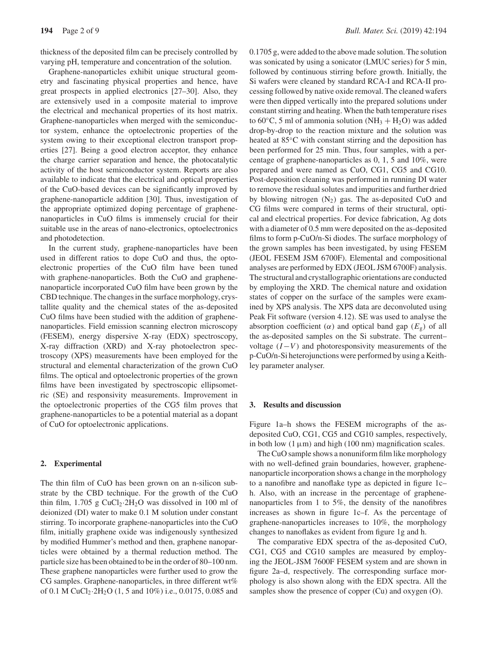thickness of the deposited film can be precisely controlled by varying pH, temperature and concentration of the solution.

Graphene-nanoparticles exhibit unique structural geometry and fascinating physical properties and hence, have great prospects in applied electronics [27–30]. Also, they are extensively used in a composite material to improve the electrical and mechanical properties of its host matrix. Graphene-nanoparticles when merged with the semiconductor system, enhance the optoelectronic properties of the system owing to their exceptional electron transport properties [27]. Being a good electron acceptor, they enhance the charge carrier separation and hence, the photocatalytic activity of the host semiconductor system. Reports are also available to indicate that the electrical and optical properties of the CuO-based devices can be significantly improved by graphene-nanoparticle addition [30]. Thus, investigation of the appropriate optimized doping percentage of graphenenanoparticles in CuO films is immensely crucial for their suitable use in the areas of nano-electronics, optoelectronics and photodetection.

In the current study, graphene-nanoparticles have been used in different ratios to dope CuO and thus, the optoelectronic properties of the CuO film have been tuned with graphene-nanoparticles. Both the CuO and graphenenanoparticle incorporated CuO film have been grown by the CBD technique. The changes in the surface morphology, crystallite quality and the chemical states of the as-deposited CuO films have been studied with the addition of graphenenanoparticles. Field emission scanning electron microscopy (FESEM), energy dispersive X-ray (EDX) spectroscopy, X-ray diffraction (XRD) and X-ray photoelectron spectroscopy (XPS) measurements have been employed for the structural and elemental characterization of the grown CuO films. The optical and optoelectronic properties of the grown films have been investigated by spectroscopic ellipsometric (SE) and responsivity measurements. Improvement in the optoelectronic properties of the CG5 film proves that graphene-nanoparticles to be a potential material as a dopant of CuO for optoelectronic applications.

## **2. Experimental**

The thin film of CuO has been grown on an n-silicon substrate by the CBD technique. For the growth of the CuO thin film, 1.705 g  $CuCl<sub>2</sub>·2H<sub>2</sub>O$  was dissolved in 100 ml of deionized (DI) water to make 0.1 M solution under constant stirring. To incorporate graphene-nanoparticles into the CuO film, initially graphene oxide was indigenously synthesized by modified Hummer's method and then, graphene nanoparticles were obtained by a thermal reduction method. The particle size has been obtained to be in the order of 80–100 nm. These graphene nanoparticles were further used to grow the CG samples. Graphene-nanoparticles, in three different wt% of 0.1 M CuCl<sub>2</sub> $\cdot$ 2H<sub>2</sub>O (1, 5 and 10%) i.e., 0.0175, 0.085 and 0.1705 g, were added to the above made solution. The solution was sonicated by using a sonicator (LMUC series) for 5 min, followed by continuous stirring before growth. Initially, the Si wafers were cleaned by standard RCA-I and RCA-II processing followed by native oxide removal. The cleaned wafers were then dipped vertically into the prepared solutions under constant stirring and heating. When the bath temperature rises to 60 $\degree$ C, 5 ml of ammonia solution (NH<sub>3</sub> + H<sub>2</sub>O) was added drop-by-drop to the reaction mixture and the solution was heated at 85°C with constant stirring and the deposition has been performed for 25 min. Thus, four samples, with a percentage of graphene-nanoparticles as 0, 1, 5 and 10%, were prepared and were named as CuO, CG1, CG5 and CG10. Post-deposition cleaning was performed in running DI water to remove the residual solutes and impurities and further dried by blowing nitrogen  $(N_2)$  gas. The as-deposited CuO and CG films were compared in terms of their structural, optical and electrical properties. For device fabrication, Ag dots with a diameter of 0.5 mm were deposited on the as-deposited films to form p-CuO/n-Si diodes. The surface morphology of the grown samples has been investigated, by using FESEM (JEOL FESEM JSM 6700F). Elemental and compositional analyses are performed by EDX (JEOL JSM 6700F) analysis. The structural and crystallographic orientations are conducted by employing the XRD. The chemical nature and oxidation states of copper on the surface of the samples were examined by XPS analysis. The XPS data are deconvoluted using Peak Fit software (version 4.12). SE was used to analyse the absorption coefficient ( $\alpha$ ) and optical band gap ( $E_g$ ) of all the as-deposited samples on the Si substrate. The current– voltage (*I*−*V*) and photoresponsivity measurements of the p-CuO/n-Si heterojunctions were performed by using a Keithley parameter analyser.

#### **3. Results and discussion**

Figure 1a–h shows the FESEM micrographs of the asdeposited CuO, CG1, CG5 and CG10 samples, respectively, in both low  $(1 \mu m)$  and high  $(100 \text{ nm})$  magnification scales.

The CuO sample shows a nonuniform film like morphology with no well-defined grain boundaries, however, graphenenanoparticle incorporation shows a change in the morphology to a nanofibre and nanoflake type as depicted in figure 1c– h. Also, with an increase in the percentage of graphenenanoparticles from 1 to 5%, the density of the nanofibres increases as shown in figure 1c–f. As the percentage of graphene-nanoparticles increases to 10%, the morphology changes to nanoflakes as evident from figure 1g and h.

The comparative EDX spectra of the as-deposited CuO, CG1, CG5 and CG10 samples are measured by employing the JEOL-JSM 7600F FESEM system and are shown in figure 2a–d, respectively. The corresponding surface morphology is also shown along with the EDX spectra. All the samples show the presence of copper (Cu) and oxygen (O).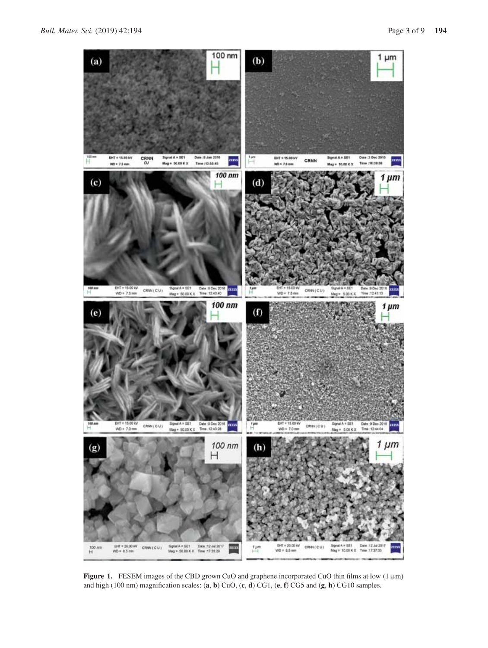

**Figure 1.** FESEM images of the CBD grown CuO and graphene incorporated CuO thin films at low (1μm) and high (100 nm) magnification scales: (**a**, **b**) CuO, (**c**, **d**) CG1, (**e**, **f**) CG5 and (**g**, **h**) CG10 samples.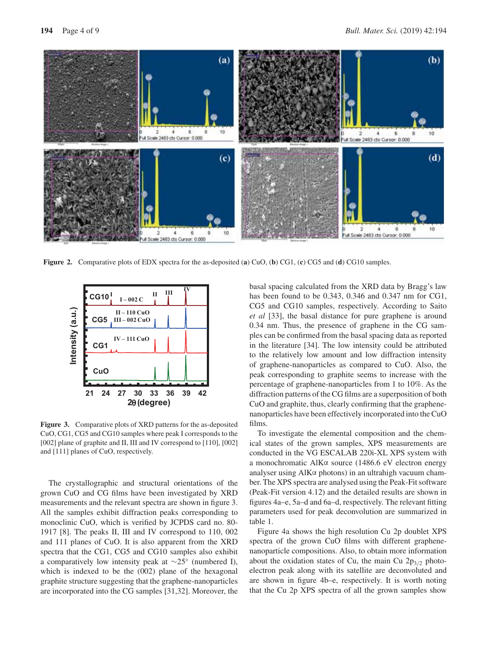

**Figure 2.** Comparative plots of EDX spectra for the as-deposited (**a**) CuO, (**b**) CG1, (**c**) CG5 and (**d**) CG10 samples.



**Figure 3.** Comparative plots of XRD patterns for the as-deposited CuO, CG1, CG5 and CG10 samples where peak I corresponds to the [002] plane of graphite and II, III and IV correspond to [110], [002] and [111] planes of CuO, respectively.

The crystallographic and structural orientations of the grown CuO and CG films have been investigated by XRD measurements and the relevant spectra are shown in figure 3. All the samples exhibit diffraction peaks corresponding to monoclinic CuO, which is verified by JCPDS card no. 80- 1917 [8]. The peaks II, III and IV correspond to 110, 002 and 111 planes of CuO. It is also apparent from the XRD spectra that the CG1, CG5 and CG10 samples also exhibit a comparatively low intensity peak at ∼25◦ (numbered I), which is indexed to be the (002) plane of the hexagonal graphite structure suggesting that the graphene-nanoparticles are incorporated into the CG samples [31,32]. Moreover, the basal spacing calculated from the XRD data by Bragg's law has been found to be 0.343, 0.346 and 0.347 nm for CG1, CG5 and CG10 samples, respectively. According to Saito *et al* [33], the basal distance for pure graphene is around 0.34 nm. Thus, the presence of graphene in the CG samples can be confirmed from the basal spacing data as reported in the literature [34]. The low intensity could be attributed to the relatively low amount and low diffraction intensity of graphene-nanoparticles as compared to CuO. Also, the peak corresponding to graphite seems to increase with the percentage of graphene-nanoparticles from 1 to 10%. As the diffraction patterns of the CG films are a superposition of both CuO and graphite, thus, clearly confirming that the graphenenanoparticles have been effectively incorporated into the CuO films.

To investigate the elemental composition and the chemical states of the grown samples, XPS measurements are conducted in the VG ESCALAB 220i-XL XPS system with a monochromatic AlKα source (1486.6 eV electron energy analyser using AlKα photons) in an ultrahigh vacuum chamber. The XPS spectra are analysed using the Peak-Fit software (Peak-Fit version 4.12) and the detailed results are shown in figures 4a–e, 5a–d and 6a–d, respectively. The relevant fitting parameters used for peak deconvolution are summarized in table 1.

Figure 4a shows the high resolution Cu 2p doublet XPS spectra of the grown CuO films with different graphenenanoparticle compositions. Also, to obtain more information about the oxidation states of Cu, the main Cu  $2p_{3/2}$  photoelectron peak along with its satellite are deconvoluted and are shown in figure 4b–e, respectively. It is worth noting that the Cu 2p XPS spectra of all the grown samples show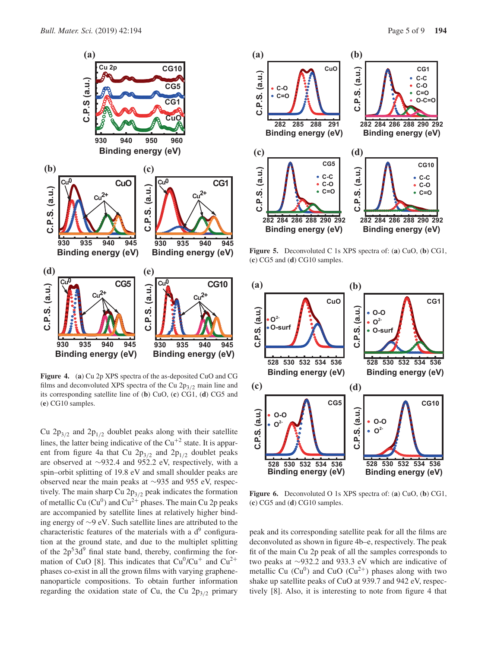

**Figure 4.** (**a**) Cu 2p XPS spectra of the as-deposited CuO and CG films and deconvoluted XPS spectra of the Cu  $2p_{3/2}$  main line and its corresponding satellite line of (**b**) CuO, (**c**) CG1, (**d**) CG5 and (**e**) CG10 samples.

Cu  $2p_{3/2}$  and  $2p_{1/2}$  doublet peaks along with their satellite lines, the latter being indicative of the  $Cu^{+2}$  state. It is apparent from figure 4a that Cu  $2p_{3/2}$  and  $2p_{1/2}$  doublet peaks are observed at ∼932.4 and 952.2 eV, respectively, with a spin–orbit splitting of 19.8 eV and small shoulder peaks are observed near the main peaks at ∼935 and 955 eV, respectively. The main sharp Cu  $2p_{3/2}$  peak indicates the formation of metallic Cu  $(Cu^0)$  and  $Cu^{2+}$  phases. The main Cu 2p peaks are accompanied by satellite lines at relatively higher binding energy of ∼9 eV. Such satellite lines are attributed to the characteristic features of the materials with a  $d^9$  configuration at the ground state, and due to the multiplet splitting of the  $2p<sup>5</sup>3d<sup>9</sup>$  final state band, thereby, confirming the formation of CuO [8]. This indicates that  $Cu^{0}/Cu^{+}$  and  $Cu^{2+}$ phases co-exist in all the grown films with varying graphenenanoparticle compositions. To obtain further information regarding the oxidation state of Cu, the Cu  $2p_{3/2}$  primary



**Figure 5.** Deconvoluted C 1s XPS spectra of: (**a**) CuO, (**b**) CG1, (**c**) CG5 and (**d**) CG10 samples.



**Figure 6.** Deconvoluted O 1s XPS spectra of: (**a**) CuO, (**b**) CG1, (**c**) CG5 and (**d**) CG10 samples.

peak and its corresponding satellite peak for all the films are deconvoluted as shown in figure 4b–e, respectively. The peak fit of the main Cu 2p peak of all the samples corresponds to two peaks at ∼932.2 and 933.3 eV which are indicative of metallic Cu  $(Cu^0)$  and CuO  $(Cu^{2+})$  phases along with two shake up satellite peaks of CuO at 939.7 and 942 eV, respectively [8]. Also, it is interesting to note from figure 4 that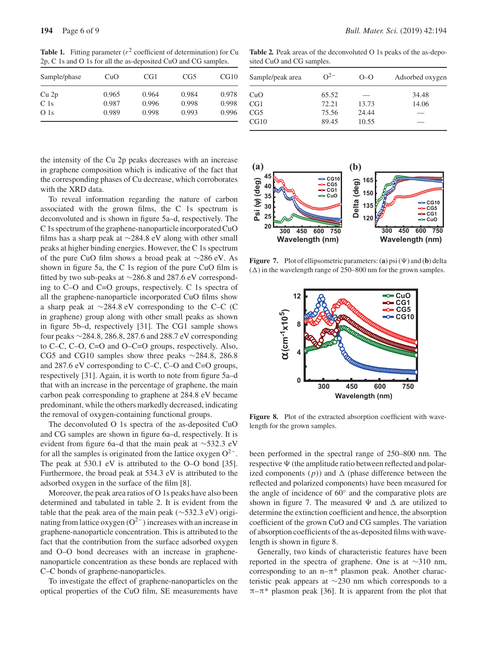**Table 1.** Fitting parameter  $(r^2$  coefficient of determination) for Cu 2p, C 1s and O 1s for all the as-deposited CuO and CG samples.

| Sample/phase    | CuO   | CG1   | CG5   | CG10  |
|-----------------|-------|-------|-------|-------|
| Cu 2p           | 0.965 | 0.964 | 0.984 | 0.978 |
| C <sub>1s</sub> | 0.987 | 0.996 | 0.998 | 0.998 |
| O <sub>1s</sub> | 0.989 | 0.998 | 0.993 | 0.996 |

the intensity of the Cu 2p peaks decreases with an increase in graphene composition which is indicative of the fact that the corresponding phases of Cu decrease, which corroborates with the XRD data.

To reveal information regarding the nature of carbon associated with the grown films, the C 1s spectrum is deconvoluted and is shown in figure 5a–d, respectively. The C 1s spectrum of the graphene-nanoparticle incorporated CuO films has a sharp peak at ∼284.8 eV along with other small peaks at higher binding energies. However, the C 1s spectrum of the pure CuO film shows a broad peak at ∼286 eV. As shown in figure 5a, the C 1s region of the pure CuO film is fitted by two sub-peaks at ∼286.8 and 287.6 eV corresponding to C–O and C=O groups, respectively. C 1s spectra of all the graphene-nanoparticle incorporated CuO films show a sharp peak at ∼284.8 eV corresponding to the C–C (C in graphene) group along with other small peaks as shown in figure 5b–d, respectively [31]. The CG1 sample shows four peaks ∼284.8, 286.8, 287.6 and 288.7 eV corresponding to C–C, C–O, C=O and O–C=O groups, respectively. Also, CG5 and CG10 samples show three peaks ∼284.8, 286.8 and 287.6 eV corresponding to C–C, C–O and C=O groups, respectively [31]. Again, it is worth to note from figure 5a–d that with an increase in the percentage of graphene, the main carbon peak corresponding to graphene at 284.8 eV became predominant, while the others markedly decreased, indicating the removal of oxygen-containing functional groups.

The deconvoluted O 1s spectra of the as-deposited CuO and CG samples are shown in figure 6a–d, respectively. It is evident from figure 6a–d that the main peak at ∼532.3 eV for all the samples is originated from the lattice oxygen  $O^{2-}$ . The peak at 530.1 eV is attributed to the O–O bond [35]. Furthermore, the broad peak at 534.3 eV is attributed to the adsorbed oxygen in the surface of the film [8].

Moreover, the peak area ratios of O 1s peaks have also been determined and tabulated in table 2. It is evident from the table that the peak area of the main peak (∼532.3 eV) originating from lattice oxygen  $(O^{2-})$  increases with an increase in graphene-nanoparticle concentration. This is attributed to the fact that the contribution from the surface adsorbed oxygen and O–O bond decreases with an increase in graphenenanoparticle concentration as these bonds are replaced with C–C bonds of graphene-nanoparticles.

To investigate the effect of graphene-nanoparticles on the optical properties of the CuO film, SE measurements have

Table 2. Peak areas of the deconvoluted O 1s peaks of the as-deposited CuO and CG samples.

| Sample/peak area | $Q^{2-}$ | $O-O$ | Adsorbed oxygen |
|------------------|----------|-------|-----------------|
| CuO              | 65.52    | --    | 34.48           |
| CG1              | 72.21    | 13.73 | 14.06           |
| CG5              | 75.56    | 24.44 |                 |
| CG10             | 89.45    | 10.55 |                 |



**Figure 7.** Plot of ellipsometric parameters: (a) psi  $(\Psi)$  and (b) delta  $(\Delta)$  in the wavelength range of 250–800 nm for the grown samples.



Figure 8. Plot of the extracted absorption coefficient with wavelength for the grown samples.

been performed in the spectral range of 250–800 nm. The respective  $\Psi$  (the amplitude ratio between reflected and polarized components  $(p)$ ) and  $\Delta$  (phase difference between the reflected and polarized components) have been measured for the angle of incidence of 60◦ and the comparative plots are shown in figure 7. The measured  $\Psi$  and  $\Delta$  are utilized to determine the extinction coefficient and hence, the absorption coefficient of the grown CuO and CG samples. The variation of absorption coefficients of the as-deposited films with wavelength is shown in figure 8.

Generally, two kinds of characteristic features have been reported in the spectra of graphene. One is at ∼310 nm, corresponding to an  $n-\pi^*$  plasmon peak. Another characteristic peak appears at ∼230 nm which corresponds to a  $\pi-\pi^*$  plasmon peak [36]. It is apparent from the plot that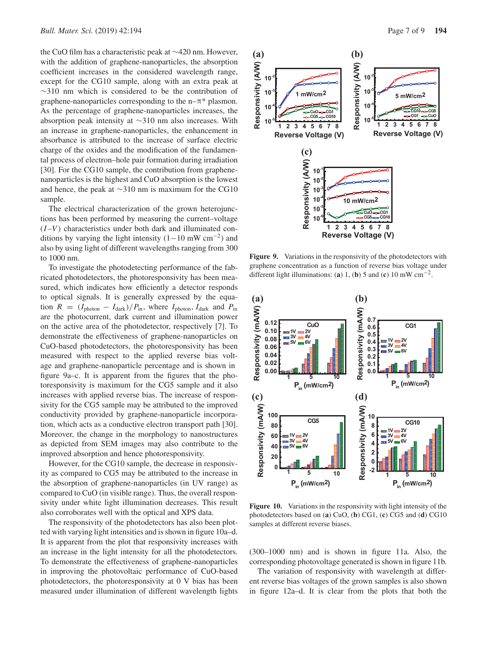the CuO film has a characteristic peak at ∼420 nm. However, with the addition of graphene-nanoparticles, the absorption coefficient increases in the considered wavelength range, except for the CG10 sample, along with an extra peak at ∼310 nm which is considered to be the contribution of graphene-nanoparticles corresponding to the  $n-\pi^*$  plasmon. As the percentage of graphene-nanoparticles increases, the absorption peak intensity at ∼310 nm also increases. With an increase in graphene-nanoparticles, the enhancement in absorbance is attributed to the increase of surface electric charge of the oxides and the modification of the fundamental process of electron–hole pair formation during irradiation [30]. For the CG10 sample, the contribution from graphenenanoparticles is the highest and CuO absorption is the lowest and hence, the peak at ∼310 nm is maximum for the CG10 sample.

The electrical characterization of the grown heterojunctions has been performed by measuring the current–voltage  $(I-V)$  characteristics under both dark and illuminated conditions by varying the light intensity  $(1-10 \text{ mW cm}^{-2})$  and also by using light of different wavelengths ranging from 300 to 1000 nm.

To investigate the photodetecting performance of the fabricated photodetectors, the photoresponsivity has been measured, which indicates how efficiently a detector responds to optical signals. It is generally expressed by the equation  $R = (I_{\text{photon}} - I_{\text{dark}})/P_{\text{in}}$ , where  $I_{\text{photon}}$ ,  $I_{\text{dark}}$  and  $P_{\text{in}}$ are the photocurrent, dark current and illumination power on the active area of the photodetector, respectively [7]. To demonstrate the effectiveness of graphene-nanoparticles on CuO-based photodetectors, the photoresponsivity has been measured with respect to the applied reverse bias voltage and graphene-nanoparticle percentage and is shown in figure 9a–c. It is apparent from the figures that the photoresponsivity is maximum for the CG5 sample and it also increases with applied reverse bias. The increase of responsivity for the CG5 sample may be attributed to the improved conductivity provided by graphene-nanoparticle incorporation, which acts as a conductive electron transport path [30]. Moreover, the change in the morphology to nanostructures as depicted from SEM images may also contribute to the improved absorption and hence photoresponsivity.

However, for the CG10 sample, the decrease in responsivity as compared to CG5 may be attributed to the increase in the absorption of graphene-nanoparticles (in UV range) as compared to CuO (in visible range). Thus, the overall responsivity under white light illumination decreases. This result also corroborates well with the optical and XPS data.

The responsivity of the photodetectors has also been plotted with varying light intensities and is shown in figure 10a–d. It is apparent from the plot that responsivity increases with an increase in the light intensity for all the photodetectors. To demonstrate the effectiveness of graphene-nanoparticles in improving the photovoltaic performance of CuO-based photodetectors, the photoresponsivity at 0 V bias has been measured under illumination of different wavelength lights



**Figure 9.** Variations in the responsivity of the photodetectors with graphene concentration as a function of reverse bias voltage under different light illuminations: (**a**) 1, (**b**) 5 and (**c**) 10 mW  $cm^{-2}$ .



**Figure 10.** Variations in the responsivity with light intensity of the photodetectors based on (**a**) CuO, (**b**) CG1, (**c**) CG5 and (**d**) CG10 samples at different reverse biases.

(300–1000 nm) and is shown in figure 11a. Also, the corresponding photovoltage generated is shown in figure 11b.

The variation of responsivity with wavelength at different reverse bias voltages of the grown samples is also shown in figure 12a–d. It is clear from the plots that both the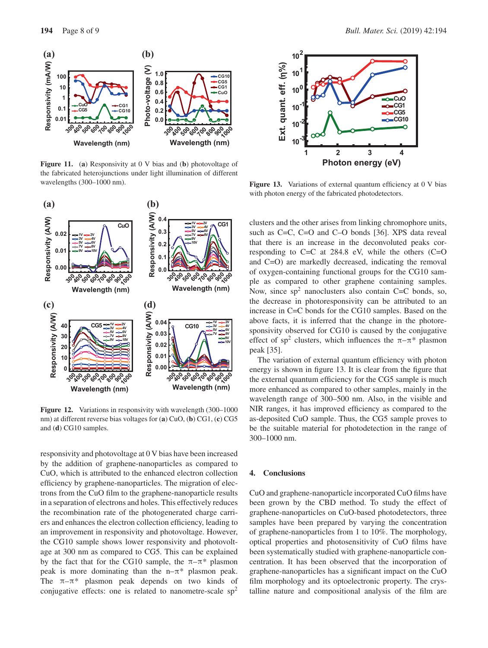

**Figure 11.** (**a**) Responsivity at 0 V bias and (**b**) photovoltage of the fabricated heterojunctions under light illumination of different wavelengths (300–1000 nm).



**Figure 12.** Variations in responsivity with wavelength (300–1000 nm) at different reverse bias voltages for (**a**) CuO, (**b**) CG1, (**c**) CG5 and (**d**) CG10 samples.

responsivity and photovoltage at 0 V bias have been increased by the addition of graphene-nanoparticles as compared to CuO, which is attributed to the enhanced electron collection efficiency by graphene-nanoparticles. The migration of electrons from the CuO film to the graphene-nanoparticle results in a separation of electrons and holes. This effectively reduces the recombination rate of the photogenerated charge carriers and enhances the electron collection efficiency, leading to an improvement in responsivity and photovoltage. However, the CG10 sample shows lower responsivity and photovoltage at 300 nm as compared to CG5. This can be explained by the fact that for the CG10 sample, the  $\pi-\pi^*$  plasmon peak is more dominating than the  $n-\pi^*$  plasmon peak. The  $\pi-\pi^*$  plasmon peak depends on two kinds of conjugative effects: one is related to nanometre-scale  $sp<sup>2</sup>$ 



**Figure 13.** Variations of external quantum efficiency at 0 V bias with photon energy of the fabricated photodetectors.

clusters and the other arises from linking chromophore units, such as C=C, C=O and C–O bonds [36]. XPS data reveal that there is an increase in the deconvoluted peaks corresponding to  $C=C$  at 284.8 eV, while the others  $(C=O)$ and C=O) are markedly decreased, indicating the removal of oxygen-containing functional groups for the CG10 sample as compared to other graphene containing samples. Now, since  $sp^2$  nanoclusters also contain C=C bonds, so, the decrease in photoresponsivity can be attributed to an increase in C=C bonds for the CG10 samples. Based on the above facts, it is inferred that the change in the photoresponsivity observed for CG10 is caused by the conjugative effect of sp<sup>2</sup> clusters, which influences the  $\pi-\pi^*$  plasmon peak [35].

The variation of external quantum efficiency with photon energy is shown in figure 13. It is clear from the figure that the external quantum efficiency for the CG5 sample is much more enhanced as compared to other samples, mainly in the wavelength range of 300–500 nm. Also, in the visible and NIR ranges, it has improved efficiency as compared to the as-deposited CuO sample. Thus, the CG5 sample proves to be the suitable material for photodetection in the range of 300–1000 nm.

## **4. Conclusions**

CuO and graphene-nanoparticle incorporated CuO films have been grown by the CBD method. To study the effect of graphene-nanoparticles on CuO-based photodetectors, three samples have been prepared by varying the concentration of graphene-nanoparticles from 1 to 10%. The morphology, optical properties and photosensitivity of CuO films have been systematically studied with graphene-nanoparticle concentration. It has been observed that the incorporation of graphene-nanoparticles has a significant impact on the CuO film morphology and its optoelectronic property. The crystalline nature and compositional analysis of the film are